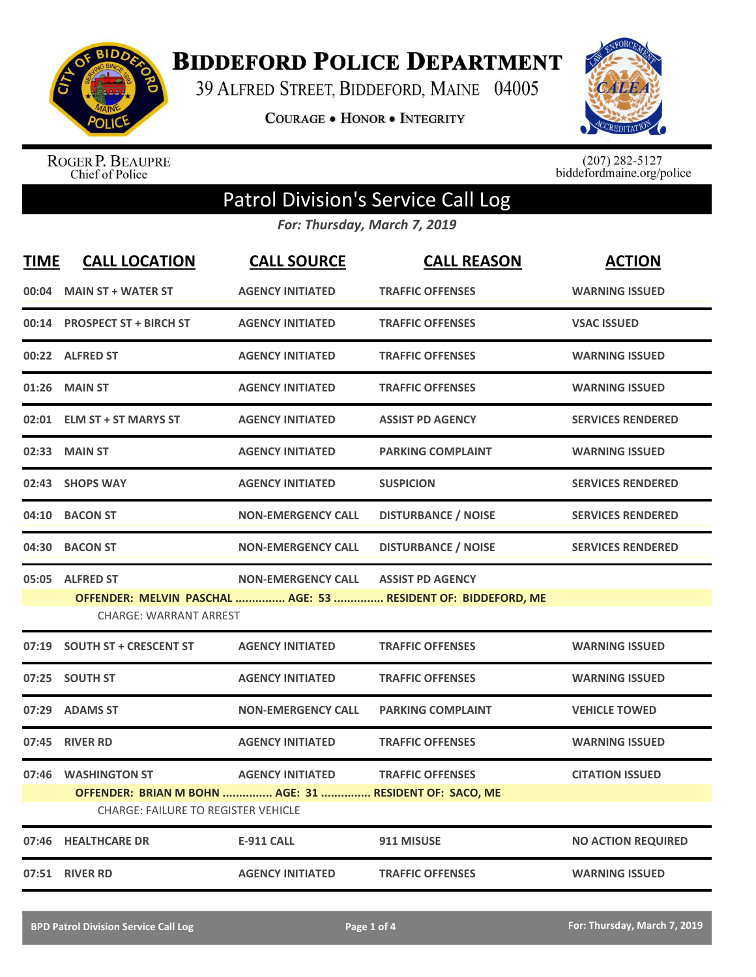

**BIDDEFORD POLICE DEPARTMENT** 

39 ALFRED STREET, BIDDEFORD, MAINE 04005

**COURAGE . HONOR . INTEGRITY** 



ROGER P. BEAUPRE<br>Chief of Police

 $(207)$  282-5127<br>biddefordmaine.org/police

## Patrol Division's Service Call Log

*For: Thursday, March 7, 2019*

| <b>TIME</b> | <b>CALL LOCATION</b>                                   | <b>CALL SOURCE</b>        | <b>CALL REASON</b>                                            | <b>ACTION</b>             |
|-------------|--------------------------------------------------------|---------------------------|---------------------------------------------------------------|---------------------------|
|             | 00:04 MAIN ST + WATER ST                               | <b>AGENCY INITIATED</b>   | <b>TRAFFIC OFFENSES</b>                                       | <b>WARNING ISSUED</b>     |
|             | 00:14 PROSPECT ST + BIRCH ST                           | <b>AGENCY INITIATED</b>   | <b>TRAFFIC OFFENSES</b>                                       | <b>VSAC ISSUED</b>        |
|             | 00:22 ALFRED ST                                        | <b>AGENCY INITIATED</b>   | <b>TRAFFIC OFFENSES</b>                                       | <b>WARNING ISSUED</b>     |
| 01:26       | <b>MAIN ST</b>                                         | <b>AGENCY INITIATED</b>   | <b>TRAFFIC OFFENSES</b>                                       | <b>WARNING ISSUED</b>     |
|             | 02:01 ELM ST + ST MARYS ST                             | <b>AGENCY INITIATED</b>   | <b>ASSIST PD AGENCY</b>                                       | <b>SERVICES RENDERED</b>  |
|             | 02:33 MAIN ST                                          | <b>AGENCY INITIATED</b>   | <b>PARKING COMPLAINT</b>                                      | <b>WARNING ISSUED</b>     |
|             | 02:43 SHOPS WAY                                        | <b>AGENCY INITIATED</b>   | <b>SUSPICION</b>                                              | <b>SERVICES RENDERED</b>  |
| 04:10       | <b>BACON ST</b>                                        | <b>NON-EMERGENCY CALL</b> | <b>DISTURBANCE / NOISE</b>                                    | <b>SERVICES RENDERED</b>  |
| 04:30       | <b>BACON ST</b>                                        | <b>NON-EMERGENCY CALL</b> | <b>DISTURBANCE / NOISE</b>                                    | <b>SERVICES RENDERED</b>  |
|             | 05:05 ALFRED ST                                        | <b>NON-EMERGENCY CALL</b> | <b>ASSIST PD AGENCY</b>                                       |                           |
|             |                                                        |                           | OFFENDER: MELVIN PASCHAL  AGE: 53  RESIDENT OF: BIDDEFORD, ME |                           |
|             | <b>CHARGE: WARRANT ARREST</b>                          |                           |                                                               |                           |
|             | 07:19 SOUTH ST + CRESCENT ST                           | <b>AGENCY INITIATED</b>   | <b>TRAFFIC OFFENSES</b>                                       | <b>WARNING ISSUED</b>     |
|             | 07:25 SOUTH ST                                         | <b>AGENCY INITIATED</b>   | <b>TRAFFIC OFFENSES</b>                                       | <b>WARNING ISSUED</b>     |
| 07:29       | <b>ADAMS ST</b>                                        | <b>NON-EMERGENCY CALL</b> | <b>PARKING COMPLAINT</b>                                      | <b>VEHICLE TOWED</b>      |
|             | 07:45 RIVER RD                                         | <b>AGENCY INITIATED</b>   | <b>TRAFFIC OFFENSES</b>                                       | <b>WARNING ISSUED</b>     |
| 07:46       | <b>WASHINGTON ST</b>                                   | <b>AGENCY INITIATED</b>   | <b>TRAFFIC OFFENSES</b>                                       | <b>CITATION ISSUED</b>    |
|             | OFFENDER: BRIAN M BOHN  AGE: 31  RESIDENT OF: SACO, ME |                           |                                                               |                           |
|             | <b>CHARGE: FAILURE TO REGISTER VEHICLE</b>             |                           |                                                               |                           |
|             | 07:46 HEALTHCARE DR                                    | <b>E-911 CALL</b>         | 911 MISUSE                                                    | <b>NO ACTION REQUIRED</b> |
|             | 07:51 RIVER RD                                         | <b>AGENCY INITIATED</b>   | <b>TRAFFIC OFFENSES</b>                                       | <b>WARNING ISSUED</b>     |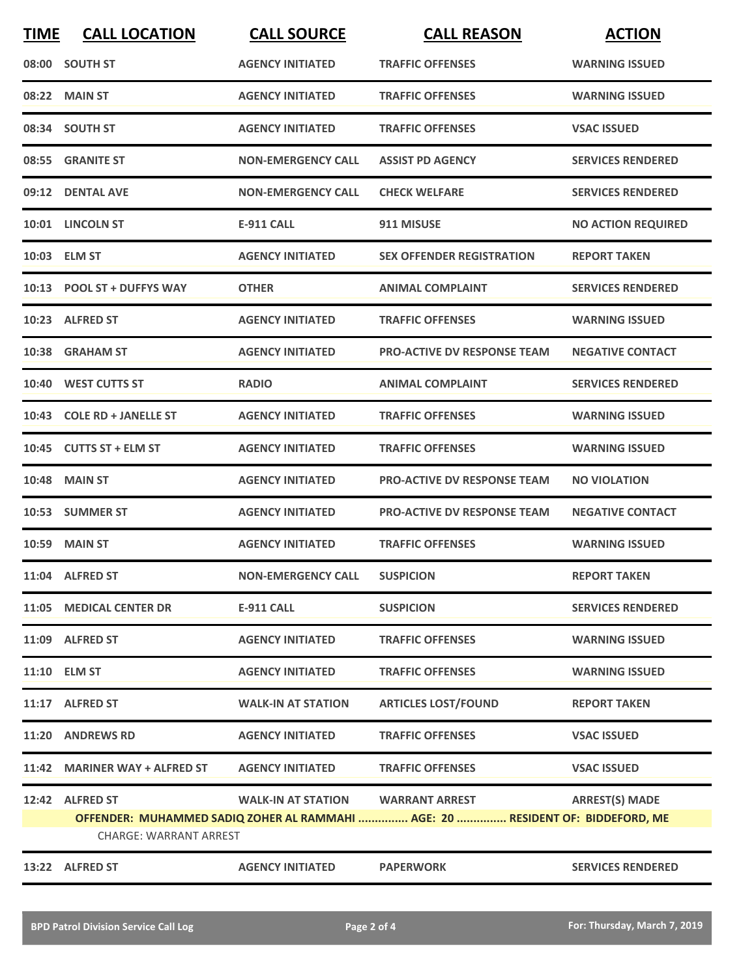| <b>TIME</b>                                                                                                     | <b>CALL LOCATION</b>          | <b>CALL SOURCE</b>        | <b>CALL REASON</b>                 | <b>ACTION</b>             |
|-----------------------------------------------------------------------------------------------------------------|-------------------------------|---------------------------|------------------------------------|---------------------------|
|                                                                                                                 | 08:00 SOUTH ST                | <b>AGENCY INITIATED</b>   | <b>TRAFFIC OFFENSES</b>            | <b>WARNING ISSUED</b>     |
|                                                                                                                 | 08:22 MAIN ST                 | <b>AGENCY INITIATED</b>   | <b>TRAFFIC OFFENSES</b>            | <b>WARNING ISSUED</b>     |
|                                                                                                                 | 08:34 SOUTH ST                | <b>AGENCY INITIATED</b>   | <b>TRAFFIC OFFENSES</b>            | <b>VSAC ISSUED</b>        |
|                                                                                                                 | 08:55 GRANITE ST              | <b>NON-EMERGENCY CALL</b> | <b>ASSIST PD AGENCY</b>            | <b>SERVICES RENDERED</b>  |
|                                                                                                                 | 09:12 DENTAL AVE              | <b>NON-EMERGENCY CALL</b> | <b>CHECK WELFARE</b>               | <b>SERVICES RENDERED</b>  |
|                                                                                                                 | 10:01 LINCOLN ST              | <b>E-911 CALL</b>         | 911 MISUSE                         | <b>NO ACTION REQUIRED</b> |
|                                                                                                                 | 10:03 ELM ST                  | <b>AGENCY INITIATED</b>   | <b>SEX OFFENDER REGISTRATION</b>   | <b>REPORT TAKEN</b>       |
|                                                                                                                 | 10:13 POOL ST + DUFFYS WAY    | <b>OTHER</b>              | <b>ANIMAL COMPLAINT</b>            | <b>SERVICES RENDERED</b>  |
|                                                                                                                 | 10:23 ALFRED ST               | <b>AGENCY INITIATED</b>   | <b>TRAFFIC OFFENSES</b>            | <b>WARNING ISSUED</b>     |
|                                                                                                                 | 10:38 GRAHAM ST               | <b>AGENCY INITIATED</b>   | <b>PRO-ACTIVE DV RESPONSE TEAM</b> | <b>NEGATIVE CONTACT</b>   |
|                                                                                                                 | 10:40 WEST CUTTS ST           | <b>RADIO</b>              | <b>ANIMAL COMPLAINT</b>            | <b>SERVICES RENDERED</b>  |
| 10:43                                                                                                           | <b>COLE RD + JANELLE ST</b>   | <b>AGENCY INITIATED</b>   | <b>TRAFFIC OFFENSES</b>            | <b>WARNING ISSUED</b>     |
|                                                                                                                 | 10:45 CUTTS ST + ELM ST       | <b>AGENCY INITIATED</b>   | <b>TRAFFIC OFFENSES</b>            | <b>WARNING ISSUED</b>     |
| 10:48                                                                                                           | <b>MAIN ST</b>                | <b>AGENCY INITIATED</b>   | <b>PRO-ACTIVE DV RESPONSE TEAM</b> | <b>NO VIOLATION</b>       |
|                                                                                                                 | 10:53 SUMMER ST               | <b>AGENCY INITIATED</b>   | <b>PRO-ACTIVE DV RESPONSE TEAM</b> | <b>NEGATIVE CONTACT</b>   |
|                                                                                                                 | <b>10:59 MAIN ST</b>          | <b>AGENCY INITIATED</b>   | <b>TRAFFIC OFFENSES</b>            | <b>WARNING ISSUED</b>     |
|                                                                                                                 | 11:04 ALFRED ST               | <b>NON-EMERGENCY CALL</b> | <b>SUSPICION</b>                   | <b>REPORT TAKEN</b>       |
|                                                                                                                 | 11:05 MEDICAL CENTER DR       | <b>E-911 CALL</b>         | <b>SUSPICION</b>                   | <b>SERVICES RENDERED</b>  |
|                                                                                                                 | 11:09 ALFRED ST               | <b>AGENCY INITIATED</b>   | <b>TRAFFIC OFFENSES</b>            | <b>WARNING ISSUED</b>     |
|                                                                                                                 | 11:10 ELM ST                  | <b>AGENCY INITIATED</b>   | <b>TRAFFIC OFFENSES</b>            | <b>WARNING ISSUED</b>     |
|                                                                                                                 | 11:17 ALFRED ST               | <b>WALK-IN AT STATION</b> | <b>ARTICLES LOST/FOUND</b>         | <b>REPORT TAKEN</b>       |
|                                                                                                                 | 11:20 ANDREWS RD              | <b>AGENCY INITIATED</b>   | <b>TRAFFIC OFFENSES</b>            | <b>VSAC ISSUED</b>        |
|                                                                                                                 | 11:42 MARINER WAY + ALFRED ST | <b>AGENCY INITIATED</b>   | <b>TRAFFIC OFFENSES</b>            | <b>VSAC ISSUED</b>        |
|                                                                                                                 | 12:42 ALFRED ST               | <b>WALK-IN AT STATION</b> | <b>WARRANT ARREST</b>              | <b>ARREST(S) MADE</b>     |
| OFFENDER: MUHAMMED SADIQ ZOHER AL RAMMAHI  AGE: 20  RESIDENT OF: BIDDEFORD, ME<br><b>CHARGE: WARRANT ARREST</b> |                               |                           |                                    |                           |
|                                                                                                                 | 13:22 ALFRED ST               | <b>AGENCY INITIATED</b>   | <b>PAPERWORK</b>                   | <b>SERVICES RENDERED</b>  |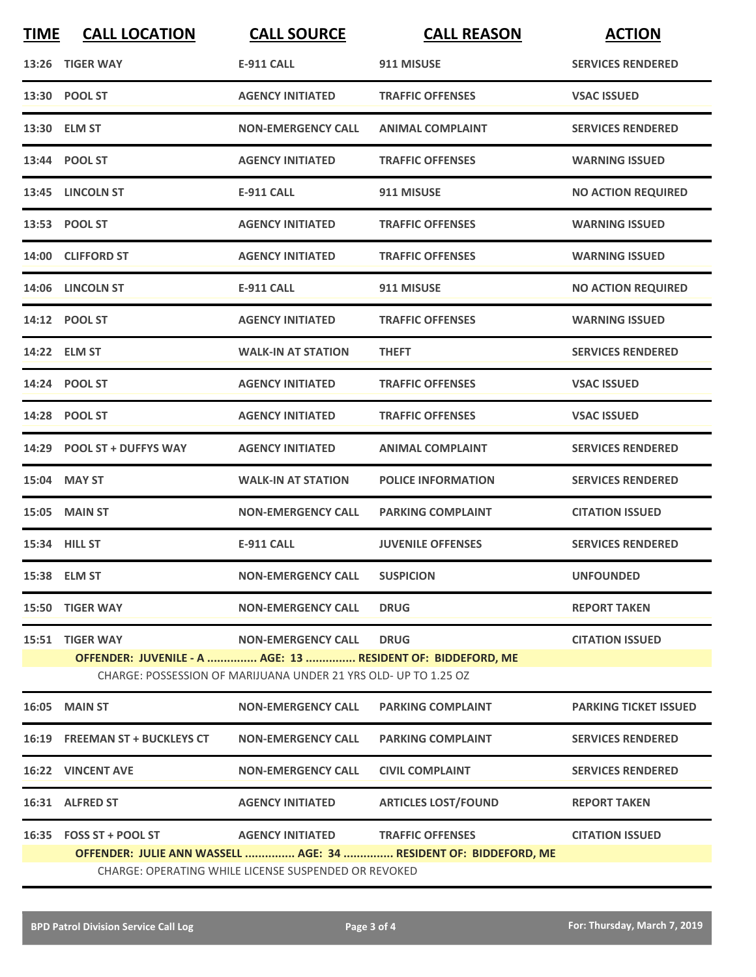| <b>TIME</b>                                                                                                                    | <b>CALL LOCATION</b>                                                                                                     | <b>CALL SOURCE</b>                | <b>CALL REASON</b>         | <b>ACTION</b>                |  |
|--------------------------------------------------------------------------------------------------------------------------------|--------------------------------------------------------------------------------------------------------------------------|-----------------------------------|----------------------------|------------------------------|--|
|                                                                                                                                | 13:26 TIGER WAY                                                                                                          | <b>E-911 CALL</b>                 | 911 MISUSE                 | <b>SERVICES RENDERED</b>     |  |
|                                                                                                                                | 13:30 POOL ST                                                                                                            | <b>AGENCY INITIATED</b>           | <b>TRAFFIC OFFENSES</b>    | <b>VSAC ISSUED</b>           |  |
|                                                                                                                                | 13:30 ELM ST                                                                                                             | <b>NON-EMERGENCY CALL</b>         | <b>ANIMAL COMPLAINT</b>    | <b>SERVICES RENDERED</b>     |  |
|                                                                                                                                | 13:44 POOL ST                                                                                                            | <b>AGENCY INITIATED</b>           | <b>TRAFFIC OFFENSES</b>    | <b>WARNING ISSUED</b>        |  |
|                                                                                                                                | 13:45 LINCOLN ST                                                                                                         | E-911 CALL                        | 911 MISUSE                 | <b>NO ACTION REQUIRED</b>    |  |
|                                                                                                                                | 13:53 POOL ST                                                                                                            | <b>AGENCY INITIATED</b>           | <b>TRAFFIC OFFENSES</b>    | <b>WARNING ISSUED</b>        |  |
|                                                                                                                                | 14:00 CLIFFORD ST                                                                                                        | <b>AGENCY INITIATED</b>           | <b>TRAFFIC OFFENSES</b>    | <b>WARNING ISSUED</b>        |  |
|                                                                                                                                | 14:06 LINCOLN ST                                                                                                         | <b>E-911 CALL</b>                 | 911 MISUSE                 | <b>NO ACTION REQUIRED</b>    |  |
|                                                                                                                                | 14:12 POOL ST                                                                                                            | <b>AGENCY INITIATED</b>           | <b>TRAFFIC OFFENSES</b>    | <b>WARNING ISSUED</b>        |  |
|                                                                                                                                | 14:22 ELM ST                                                                                                             | <b>WALK-IN AT STATION</b>         | <b>THEFT</b>               | <b>SERVICES RENDERED</b>     |  |
|                                                                                                                                | 14:24 POOL ST                                                                                                            | <b>AGENCY INITIATED</b>           | <b>TRAFFIC OFFENSES</b>    | <b>VSAC ISSUED</b>           |  |
|                                                                                                                                | 14:28 POOL ST                                                                                                            | <b>AGENCY INITIATED</b>           | <b>TRAFFIC OFFENSES</b>    | <b>VSAC ISSUED</b>           |  |
|                                                                                                                                | 14:29 POOL ST + DUFFYS WAY                                                                                               | <b>AGENCY INITIATED</b>           | <b>ANIMAL COMPLAINT</b>    | <b>SERVICES RENDERED</b>     |  |
|                                                                                                                                | 15:04 MAY ST                                                                                                             | <b>WALK-IN AT STATION</b>         | <b>POLICE INFORMATION</b>  | <b>SERVICES RENDERED</b>     |  |
|                                                                                                                                | <b>15:05 MAIN ST</b>                                                                                                     | <b>NON-EMERGENCY CALL</b>         | <b>PARKING COMPLAINT</b>   | <b>CITATION ISSUED</b>       |  |
|                                                                                                                                | 15:34 HILL ST                                                                                                            | <b>E-911 CALL</b>                 | <b>JUVENILE OFFENSES</b>   | <b>SERVICES RENDERED</b>     |  |
|                                                                                                                                | 15:38 ELM ST                                                                                                             | <b>NON-EMERGENCY CALL</b>         | <b>SUSPICION</b>           | <b>UNFOUNDED</b>             |  |
|                                                                                                                                | 15:50 TIGER WAY                                                                                                          | <b>NON-EMERGENCY CALL</b>         | <b>DRUG</b>                | <b>REPORT TAKEN</b>          |  |
|                                                                                                                                | 15:51 TIGER WAY                                                                                                          | <b>NON-EMERGENCY CALL</b>         | <b>DRUG</b>                | <b>CITATION ISSUED</b>       |  |
| OFFENDER: JUVENILE - A  AGE: 13  RESIDENT OF: BIDDEFORD, ME<br>CHARGE: POSSESSION OF MARIJUANA UNDER 21 YRS OLD- UP TO 1.25 OZ |                                                                                                                          |                                   |                            |                              |  |
|                                                                                                                                | <b>16:05 MAIN ST</b>                                                                                                     | <b>NON-EMERGENCY CALL</b>         | <b>PARKING COMPLAINT</b>   | <b>PARKING TICKET ISSUED</b> |  |
|                                                                                                                                | 16:19 FREEMAN ST + BUCKLEYS CT                                                                                           | <b>NON-EMERGENCY CALL</b>         | <b>PARKING COMPLAINT</b>   | <b>SERVICES RENDERED</b>     |  |
|                                                                                                                                | <b>16:22 VINCENT AVE</b>                                                                                                 | <b>NON-EMERGENCY CALL</b>         | <b>CIVIL COMPLAINT</b>     | <b>SERVICES RENDERED</b>     |  |
|                                                                                                                                | 16:31 ALFRED ST                                                                                                          | <b>AGENCY INITIATED</b>           | <b>ARTICLES LOST/FOUND</b> | <b>REPORT TAKEN</b>          |  |
|                                                                                                                                | 16:35 FOSS ST + POOL ST                                                                                                  | AGENCY INITIATED TRAFFIC OFFENSES |                            | <b>CITATION ISSUED</b>       |  |
|                                                                                                                                | OFFENDER: JULIE ANN WASSELL  AGE: 34  RESIDENT OF: BIDDEFORD, ME<br>CHARGE: OPERATING WHILE LICENSE SUSPENDED OR REVOKED |                                   |                            |                              |  |